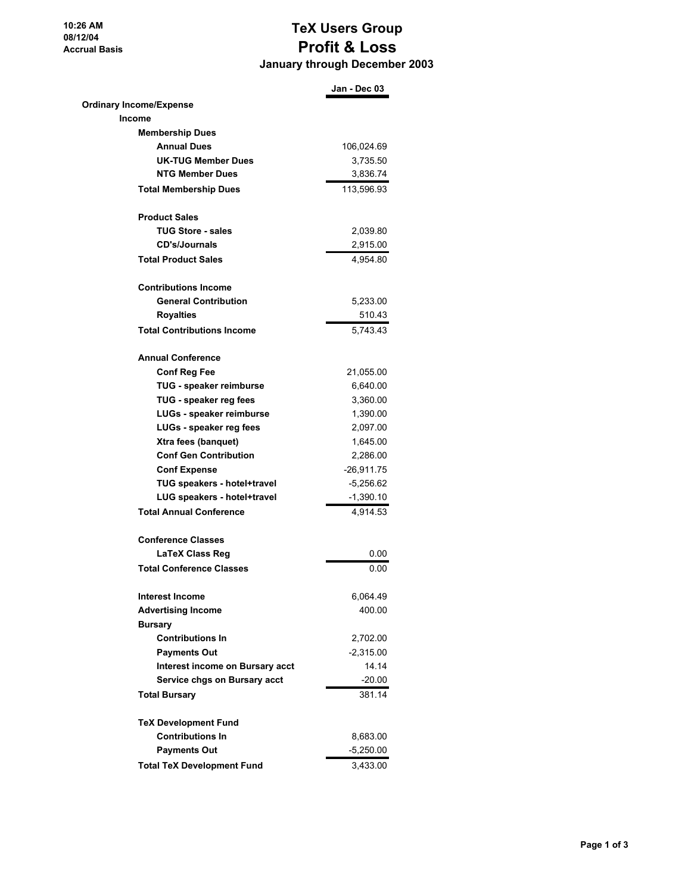**10:26 AM 08/12/04 Accrual Basis**

## **TeX Users Group Profit & Loss January through December 2003**

|                                   | Jan - Dec 03 |
|-----------------------------------|--------------|
| <b>Ordinary Income/Expense</b>    |              |
| Income                            |              |
| <b>Membership Dues</b>            |              |
| <b>Annual Dues</b>                | 106,024.69   |
| <b>UK-TUG Member Dues</b>         | 3,735.50     |
| <b>NTG Member Dues</b>            | 3,836.74     |
| <b>Total Membership Dues</b>      | 113,596.93   |
| <b>Product Sales</b>              |              |
| <b>TUG Store - sales</b>          | 2.039.80     |
| <b>CD's/Journals</b>              | 2,915.00     |
| <b>Total Product Sales</b>        | 4,954.80     |
| <b>Contributions Income</b>       |              |
| <b>General Contribution</b>       | 5,233.00     |
| <b>Royalties</b>                  | 510.43       |
| <b>Total Contributions Income</b> | 5.743.43     |
| <b>Annual Conference</b>          |              |
| <b>Conf Reg Fee</b>               | 21,055.00    |
| TUG - speaker reimburse           | 6,640.00     |
| TUG - speaker reg fees            | 3,360.00     |
| LUGs - speaker reimburse          | 1,390.00     |
| LUGs - speaker reg fees           | 2,097.00     |
| Xtra fees (banquet)               | 1,645.00     |
| <b>Conf Gen Contribution</b>      | 2,286.00     |
| <b>Conf Expense</b>               | -26,911.75   |
| TUG speakers - hotel+travel       | $-5,256.62$  |
| LUG speakers - hotel+travel       | $-1,390.10$  |
| <b>Total Annual Conference</b>    | 4,914.53     |
| <b>Conference Classes</b>         |              |
| <b>LaTeX Class Reg</b>            | 0.00         |
| <b>Total Conference Classes</b>   | 0.00         |
| <b>Interest Income</b>            | 6,064.49     |
| <b>Advertising Income</b>         | 400.00       |
| <b>Bursary</b>                    |              |
| <b>Contributions In</b>           | 2,702.00     |
| <b>Payments Out</b>               | $-2,315.00$  |
| Interest income on Bursary acct   | 14.14        |
| Service chgs on Bursary acct      | $-20.00$     |
| <b>Total Bursary</b>              | 381.14       |
| <b>TeX Development Fund</b>       |              |
| <b>Contributions In</b>           | 8,683.00     |
| <b>Payments Out</b>               | $-5,250.00$  |
| <b>Total TeX Development Fund</b> | 3,433.00     |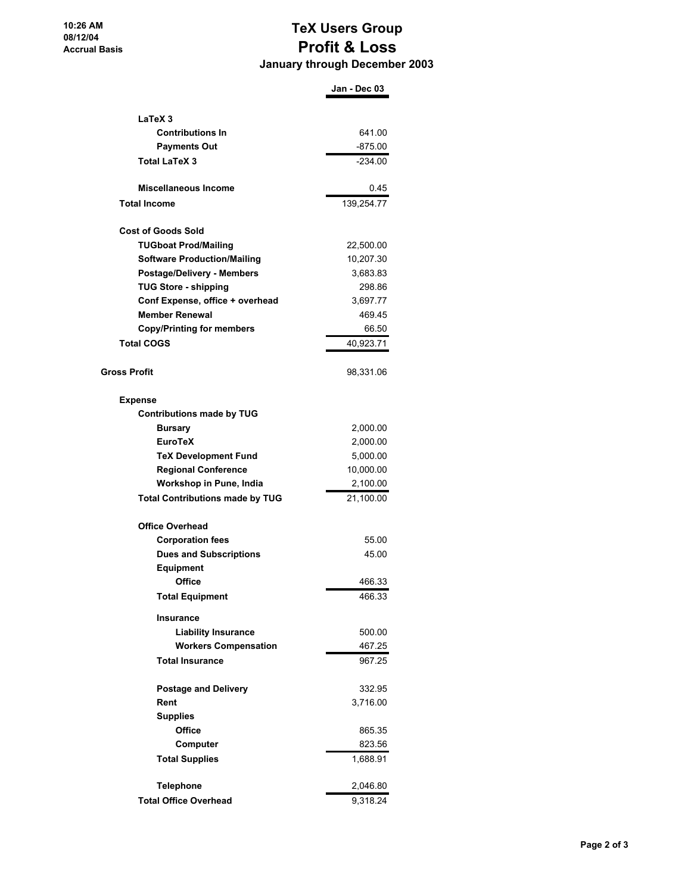## **TeX Users Group Profit & Loss January through December 2003**

|                                        | Jan - Dec 03 |
|----------------------------------------|--------------|
|                                        |              |
| LaTeX <sub>3</sub>                     |              |
| <b>Contributions In</b>                | 641.00       |
| <b>Payments Out</b>                    | $-875.00$    |
| <b>Total LaTeX 3</b>                   | $-234.00$    |
| <b>Miscellaneous Income</b>            | 0.45         |
| <b>Total Income</b>                    | 139,254.77   |
| <b>Cost of Goods Sold</b>              |              |
| <b>TUGboat Prod/Mailing</b>            | 22,500.00    |
| <b>Software Production/Mailing</b>     | 10,207.30    |
| <b>Postage/Delivery - Members</b>      | 3,683.83     |
| <b>TUG Store - shipping</b>            | 298.86       |
| Conf Expense, office + overhead        | 3,697.77     |
| <b>Member Renewal</b>                  | 469.45       |
| <b>Copy/Printing for members</b>       | 66.50        |
| <b>Total COGS</b>                      | 40,923.71    |
|                                        |              |
| <b>Gross Profit</b>                    | 98,331.06    |
| <b>Expense</b>                         |              |
| <b>Contributions made by TUG</b>       |              |
| <b>Bursary</b>                         | 2,000.00     |
| <b>EuroTeX</b>                         | 2,000.00     |
| <b>TeX Development Fund</b>            | 5,000.00     |
| <b>Regional Conference</b>             | 10,000.00    |
| Workshop in Pune, India                | 2,100.00     |
| <b>Total Contributions made by TUG</b> | 21,100.00    |
| <b>Office Overhead</b>                 |              |
| <b>Corporation fees</b>                | 55.00        |
| <b>Dues and Subscriptions</b>          | 45.00        |
| <b>Equipment</b>                       |              |
| Office                                 | 466.33       |
| <b>Total Equipment</b>                 | 466.33       |
| <b>Insurance</b>                       |              |
| <b>Liability Insurance</b>             | 500.00       |
| <b>Workers Compensation</b>            | 467.25       |
| <b>Total Insurance</b>                 | 967.25       |
| <b>Postage and Delivery</b>            | 332.95       |
| Rent                                   | 3,716.00     |
| <b>Supplies</b>                        |              |
| Office                                 | 865.35       |
| Computer                               | 823.56       |
| <b>Total Supplies</b>                  | 1,688.91     |
|                                        |              |
| <b>Telephone</b>                       | 2,046.80     |
| <b>Total Office Overhead</b>           | 9,318.24     |